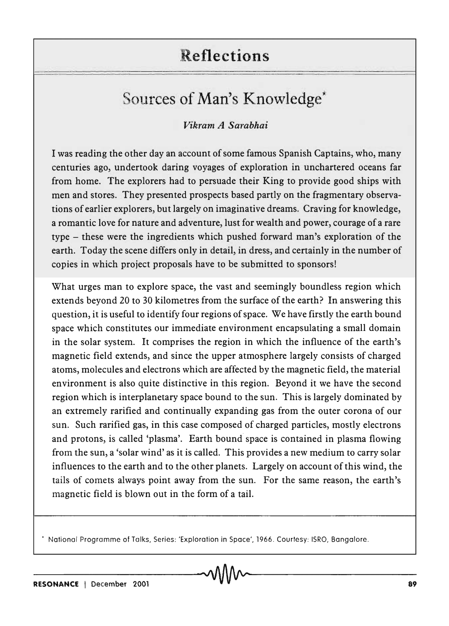## **Reflections**

## Sources of Man's Knowledge\*

## *Vikram A Sarabhai*

I was reading the other day an account of some famous Spanish Captains, who, many centuries ago, undertook daring voyages of exploration in unchartered oceans far from home. The explorers had to persuade their King to provide good ships with men and stores. They presented prospects based partly on the fragmentary observations of earlier explorers, but largely on imaginative dreams. Craving for knowledge, a romantic love for nature and adventure, lust for wealth and power, courage of a rare type - these were the ingredients which pushed forward man's exploration of the earth. Today the scene differs only in detail, in dress, and certainly in the number of copies in which project proposals have to be submitted to sponsors!

What urges man to explore space, the vast and seemingly boundless region which extends beyond 20 to 30 kilometres from the surface of the earth? In answering this question, it is useful to identify four regions of space. We have firstly the earth bound space which constitutes our immediate environment encapsulating a small domain in the solar system. It comprises the region in which the influence of the earth's magnetic field extends, and since the upper atmosphere largely consists of charged atoms, molecules and electrons which are affected by the magnetic field, the material environment is also quite distinctive in this region. Beyond it we have the second region which is interplanetary space bound to the sun. This is largely dominated by an extremely rarified and continually expanding gas from the outer corona of our sun. Such rarified gas, in this case composed of charged particles, mostly electrons and protons, is called 'plasma'. Earth bound space is contained in plasma flowing from the sun, a 'solar wind' as it is called. This provides a new medium to carry solar influences to the earth and to the other planets. Largely on account of this wind, the tails of comets always point away from the sun. For the same reason, the earth's magnetic field is blown out in the form of a tail.

• National Programme of Talks, Series: 'Exploration in Space', 1966. Courtesy: ISRO, Bangalore.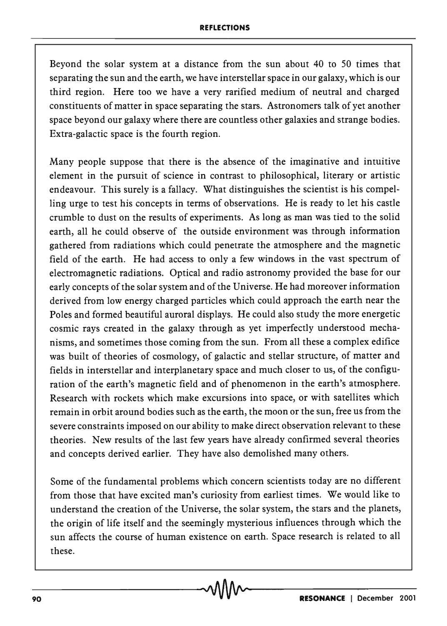Beyond the solar system at a distance from the sun about 40 to SO times that separating the sun and the earth, we have interstellar space in our galaxy, which is our third region. Here too we have a very rarified medium of neutral and charged constituents of matter in space separating the stars. Astronomers talk of yet another space beyond our galaxy where there are countless other galaxies and strange bodies. Extra-galactic space is the fourth region.

Many people suppose that there is the absence of the imaginative and intuitive element in the pursuit of science in contrast to philosophical, literary or artistic endeavour. This surely is a fallacy. What distinguishes the scientist is his compelling urge to test his concepts in terms of observations. He is ready to let his castle crumble to dust on the results of experiments. As long as man was tied to the solid earth, all he could observe of the outside environment was through information gathered from radiations which could penetrate the atmosphere and the magnetic field of the earth. He had access to only a few windows in the vast spectrum of electromagnetic radiations. Optical and radio astronomy provided the base for our early concepts of the solar system and of the Universe. He had moreover information derived from low energy charged particles which could approach the earth near the Poles and formed beautiful auroral displays. He could also study the more energetic cosmic rays created in the galaxy through as yet imperfectly understood mechanisms, and sometimes those coming from the sun. From all these a complex edifice was built of theories of cosmology, of galactic and stellar structure, of matter and fields in interstellar and interplanetary space and much closer to us, of the configuration of the earth's magnetic field and of phenomenon in the earth's atmosphere. Research with rockets which make excursions into space, or with satellites which remain in orbit around bodies such as the earth, the moon or the sun, free us from the severe constraints imposed on our ability to make direct observation relevant to these theories. New results of the last few years have already confirmed several theories and concepts derived earlier. They have also demolished many others.

Some of the fundamental problems which concern scientists today are no different from those that have excited man's curiosity from earliest times. We would like to understand the creation of the Universe, the solar system, the stars and the planets, the origin of life itself and the seemingly mysterious influences through which the sun affects the course of human existence on earth. Space research is related to all these. EXAM ANCES THE COALSE OF HAMAN CALISLER OF CATAR. Space research to related to an<br>these.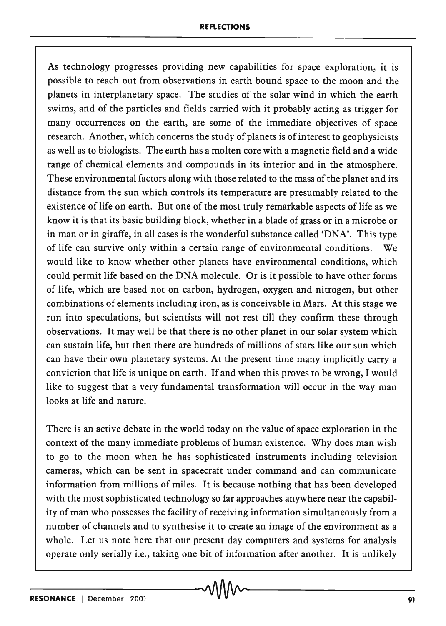## **REfLECTIONS**

As technology progresses providing new capabilities for space exploration, it is possible to reach out from observations in earth bound space to the moon and the planets in interplanetary space. The studies of the solar wind in which the earth swims, and of the particles and fields carried with it probably acting as trigger for many occurrences on the earth, are some of the immediate objectives of space research. Another, which concerns the study of planets is of interest to geophysicists as well as to biologists. The earth has a molten core with a magnetic field and a wide range of chemical elements and compounds in its interior and in the atmosphere. These environmental factors along with those related to the mass of the planet and its distance from the sun which controls its temperature are presumably related to the existence of life on earth. But one of the most truly remarkable aspects of life as we know it is that its basic building block, whether in a blade of grass or in a microbe or in man or in giraffe, in all cases is the wonderful substance called 'DNA'. This type of life can survive only within a certain range of environmental conditions. We would like to know whether other planets have environmental conditions, which could permit life based on the DNA molecule. Or is it possible to have other forms of life, which are based not on carbon, hydrogen, oxygen and nitrogen, but other combinations of elements including iron, as is conceivable in Mars. At this stage we run into speculations, but scientists will not rest till they confirm these through observations. It may well be that there is no other planet in our solar system which can sustain life, but then there are hundreds of millions of stars like our sun which can have their own planetary systems. At the present time many implicitly carry a conviction that life is unique on earth. If and when this proves to be wrong, I would like to suggest that a very fundamental transformation will occur in the way man looks at life and nature.

There is an active debate in the world today on the value of space exploration in the context of the many immediate problems of human existence. Why does man wish to go to the moon when he has sophisticated instruments including television cameras, which can be sent in spacecraft under command and can communicate information from millions of miles. It is because nothing that has been developed with the most sophisticated technology so far approaches anywhere near the capability of man who possesses the facility of receiving information simultaneously from a number of channels and to synthesise it to create an image of the environment as a whole. Let us note here that our present day computers and systems for analysis operate only serially i.e., taking one bit of information after another. It is unlikely